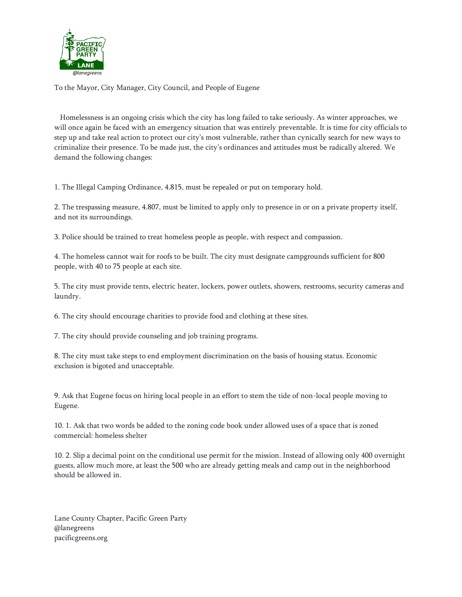

To the Mayor, City Manager, City Council, and People of Eugene

Homelessness is an ongoing crisis which the city has long failed to take seriously. As winter approaches, we will once again be faced with an emergency situation that was entirely preventable. It is time for city officials to step up and take real action to protect our city's most vulnerable, rather than cynically search for new ways to criminalize their presence. To be made just, the city's ordinances and attitudes must be radically altered. We demand the following changes:

1. The Illegal Camping Ordinance, 4.815, must be repealed or put on temporary hold.

2. The trespassing measure, 4.807, must be limited to apply only to presence in or on a private property itself, and not its surroundings.

3. Police should be trained to treat homeless people as people, with respect and compassion.

4. The homeless cannot wait for roofs to be built. The city must designate campgrounds sufficient for 800 people, with 40 to 75 people at each site.

5. The city must provide tents, electric heater, lockers, power outlets, showers, restrooms, security cameras and laundry.

6. The city should encourage charities to provide food and clothing at these sites.

7. The city should provide counseling and job training programs.

8. The city must take steps to end employment discrimination on the basis of housing status. Economic exclusion is bigoted and unacceptable.

9. Ask that Eugene focus on hiring local people in an effort to stem the tide of non-local people moving to Eugene.

10. 1. Ask that two words be added to the zoning code book under allowed uses of a space that is zoned commercial: homeless shelter

10. 2. Slip a decimal point on the conditional use permit for the mission. Instead of allowing only 400 overnight guests, allow much more, at least the 500 who are already getting meals and camp out in the neighborhood should be allowed in.

Lane County Chapter, Pacific Green Party @lanegreens pacificgreens.org